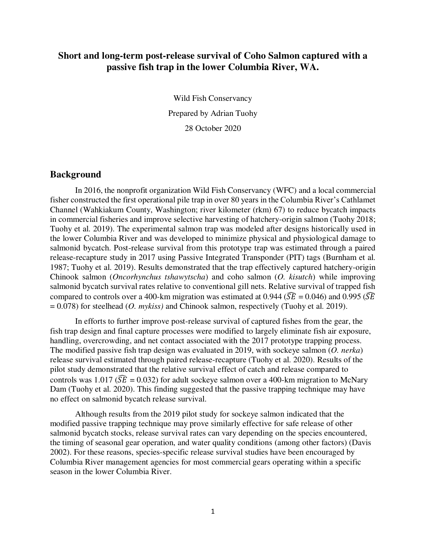# **Short and long-term post-release survival of Coho Salmon captured with a passive fish trap in the lower Columbia River, WA.**

Wild Fish Conservancy Prepared by Adrian Tuohy 28 October 2020

### **Background**

In 2016, the nonprofit organization Wild Fish Conservancy (WFC) and a local commercial fisher constructed the first operational pile trap in over 80 years in the Columbia River's Cathlamet Channel (Wahkiakum County, Washington; river kilometer (rkm) 67) to reduce bycatch impacts in commercial fisheries and improve selective harvesting of hatchery-origin salmon (Tuohy 2018; Tuohy et al. 2019). The experimental salmon trap was modeled after designs historically used in the lower Columbia River and was developed to minimize physical and physiological damage to salmonid bycatch. Post-release survival from this prototype trap was estimated through a paired release-recapture study in 2017 using Passive Integrated Transponder (PIT) tags (Burnham et al. 1987; Tuohy et al. 2019). Results demonstrated that the trap effectively captured hatchery-origin Chinook salmon (*Oncorhynchus tshawytscha*) and coho salmon (*O. kisutch*) while improving salmonid bycatch survival rates relative to conventional gill nets. Relative survival of trapped fish compared to controls over a 400-km migration was estimated at 0.944 ( $\widehat{SE} = 0.046$ ) and 0.995 ( $\widehat{SE}$ ) = 0.078) for steelhead (*O. mykiss)* and Chinook salmon, respectively (Tuohy et al. 2019).

In efforts to further improve post-release survival of captured fishes from the gear, the fish trap design and final capture processes were modified to largely eliminate fish air exposure, handling, overcrowding, and net contact associated with the 2017 prototype trapping process. The modified passive fish trap design was evaluated in 2019, with sockeye salmon (*O. nerka*) release survival estimated through paired release-recapture (Tuohy et al. 2020). Results of the pilot study demonstrated that the relative survival effect of catch and release compared to controls was 1.017 ( $\widehat{SE} = 0.032$ ) for adult sockeye salmon over a 400-km migration to McNary Dam (Tuohy et al. 2020). This finding suggested that the passive trapping technique may have no effect on salmonid bycatch release survival.

Although results from the 2019 pilot study for sockeye salmon indicated that the modified passive trapping technique may prove similarly effective for safe release of other salmonid bycatch stocks, release survival rates can vary depending on the species encountered, the timing of seasonal gear operation, and water quality conditions (among other factors) (Davis 2002). For these reasons, species-specific release survival studies have been encouraged by Columbia River management agencies for most commercial gears operating within a specific season in the lower Columbia River.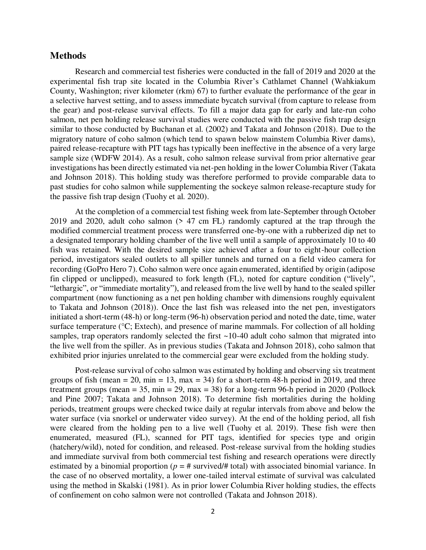### **Methods**

Research and commercial test fisheries were conducted in the fall of 2019 and 2020 at the experimental fish trap site located in the Columbia River's Cathlamet Channel (Wahkiakum County, Washington; river kilometer (rkm) 67) to further evaluate the performance of the gear in a selective harvest setting, and to assess immediate bycatch survival (from capture to release from the gear) and post-release survival effects. To fill a major data gap for early and late-run coho salmon, net pen holding release survival studies were conducted with the passive fish trap design similar to those conducted by Buchanan et al. (2002) and Takata and Johnson (2018). Due to the migratory nature of coho salmon (which tend to spawn below mainstem Columbia River dams), paired release-recapture with PIT tags has typically been ineffective in the absence of a very large sample size (WDFW 2014). As a result, coho salmon release survival from prior alternative gear investigations has been directly estimated via net-pen holding in the lower Columbia River (Takata and Johnson 2018). This holding study was therefore performed to provide comparable data to past studies for coho salmon while supplementing the sockeye salmon release-recapture study for the passive fish trap design (Tuohy et al. 2020).

At the completion of a commercial test fishing week from late-September through October 2019 and 2020, adult coho salmon (> 47 cm FL) randomly captured at the trap through the modified commercial treatment process were transferred one-by-one with a rubberized dip net to a designated temporary holding chamber of the live well until a sample of approximately 10 to 40 fish was retained. With the desired sample size achieved after a four to eight-hour collection period, investigators sealed outlets to all spiller tunnels and turned on a field video camera for recording (GoPro Hero 7). Coho salmon were once again enumerated, identified by origin (adipose fin clipped or unclipped), measured to fork length (FL), noted for capture condition ("lively", "lethargic", or "immediate mortality"), and released from the live well by hand to the sealed spiller compartment (now functioning as a net pen holding chamber with dimensions roughly equivalent to Takata and Johnson (2018)). Once the last fish was released into the net pen, investigators initiated a short-term (48-h) or long-term (96-h) observation period and noted the date, time, water surface temperature (°C; Extech), and presence of marine mammals. For collection of all holding samples, trap operators randomly selected the first ~10-40 adult coho salmon that migrated into the live well from the spiller. As in previous studies (Takata and Johnson 2018), coho salmon that exhibited prior injuries unrelated to the commercial gear were excluded from the holding study.

Post-release survival of coho salmon was estimated by holding and observing six treatment groups of fish (mean  $= 20$ , min  $= 13$ , max  $= 34$ ) for a short-term 48-h period in 2019, and three treatment groups (mean  $= 35$ , min  $= 29$ , max  $= 38$ ) for a long-term 96-h period in 2020 (Pollock and Pine 2007; Takata and Johnson 2018). To determine fish mortalities during the holding periods, treatment groups were checked twice daily at regular intervals from above and below the water surface (via snorkel or underwater video survey). At the end of the holding period, all fish were cleared from the holding pen to a live well (Tuohy et al. 2019). These fish were then enumerated, measured (FL), scanned for PIT tags, identified for species type and origin (hatchery/wild), noted for condition, and released. Post-release survival from the holding studies and immediate survival from both commercial test fishing and research operations were directly estimated by a binomial proportion ( $p = #$  survived/ $#$  total) with associated binomial variance. In the case of no observed mortality, a lower one-tailed interval estimate of survival was calculated using the method in Skalski (1981). As in prior lower Columbia River holding studies, the effects of confinement on coho salmon were not controlled (Takata and Johnson 2018).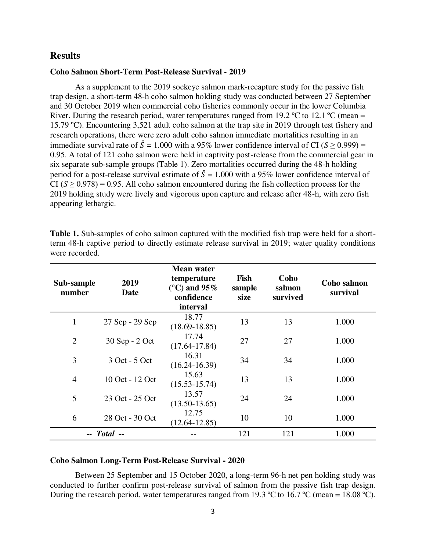### **Results**

#### **Coho Salmon Short-Term Post-Release Survival - 2019**

As a supplement to the 2019 sockeye salmon mark-recapture study for the passive fish trap design, a short-term 48-h coho salmon holding study was conducted between 27 September and 30 October 2019 when commercial coho fisheries commonly occur in the lower Columbia River. During the research period, water temperatures ranged from 19.2 °C to 12.1 °C (mean = 15.79 ºC). Encountering 3,521 adult coho salmon at the trap site in 2019 through test fishery and research operations, there were zero adult coho salmon immediate mortalities resulting in an immediate survival rate of  $\hat{S} = 1.000$  with a 95% lower confidence interval of CI ( $S \ge 0.999$ ) = 0.95. A total of 121 coho salmon were held in captivity post-release from the commercial gear in six separate sub-sample groups (Table 1). Zero mortalities occurred during the 48-h holding period for a post-release survival estimate of  $\hat{S} = 1.000$  with a 95% lower confidence interval of CI  $(S \ge 0.978) = 0.95$ . All coho salmon encountered during the fish collection process for the 2019 holding study were lively and vigorous upon capture and release after 48-h, with zero fish appearing lethargic.

| Sub-sample<br>number | 2019<br>Date    | <b>Mean water</b><br>temperature<br>$(^{\circ}C)$ and 95%<br>confidence<br>interval | Fish<br>sample<br>size | Coho<br>salmon<br>survived | <b>Coho salmon</b><br>survival |
|----------------------|-----------------|-------------------------------------------------------------------------------------|------------------------|----------------------------|--------------------------------|
| 1                    | 27 Sep - 29 Sep | 18.77<br>$(18.69 - 18.85)$                                                          | 13                     | 13                         | 1.000                          |
| $\overline{2}$       | 30 Sep - 2 Oct  | 17.74<br>$(17.64 - 17.84)$                                                          | 27                     | 27                         | 1.000                          |
| 3                    | 3 Oct - 5 Oct   | 16.31<br>$(16.24 - 16.39)$                                                          | 34                     | 34                         | 1.000                          |
| $\overline{4}$       | 10 Oct - 12 Oct | 15.63<br>$(15.53 - 15.74)$                                                          | 13                     | 13                         | 1.000                          |
| 5                    | 23 Oct - 25 Oct | 13.57<br>$(13.50 - 13.65)$                                                          | 24                     | 24                         | 1.000                          |
| 6                    | 28 Oct - 30 Oct | 12.75<br>$(12.64 - 12.85)$                                                          | 10                     | 10                         | 1.000                          |
| $-$ Total $-$        |                 |                                                                                     | 121                    | 121                        | 1.000                          |

**Table 1.** Sub-samples of coho salmon captured with the modified fish trap were held for a shortterm 48-h captive period to directly estimate release survival in 2019; water quality conditions were recorded.

#### **Coho Salmon Long-Term Post-Release Survival - 2020**

Between 25 September and 15 October 2020, a long-term 96-h net pen holding study was conducted to further confirm post-release survival of salmon from the passive fish trap design. During the research period, water temperatures ranged from 19.3 °C to 16.7 °C (mean = 18.08 °C).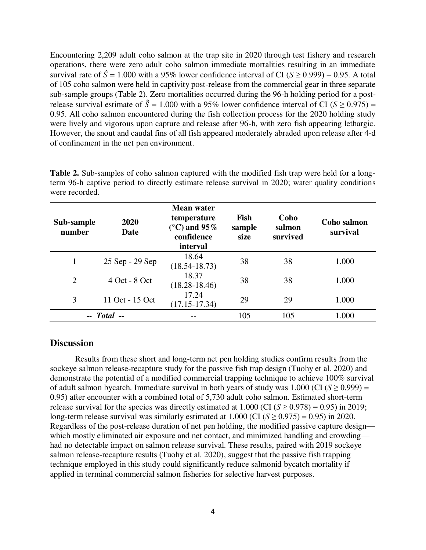Encountering 2,209 adult coho salmon at the trap site in 2020 through test fishery and research operations, there were zero adult coho salmon immediate mortalities resulting in an immediate survival rate of  $\hat{S} = 1.000$  with a 95% lower confidence interval of CI ( $S > 0.999$ ) = 0.95. A total of 105 coho salmon were held in captivity post-release from the commercial gear in three separate sub-sample groups (Table 2). Zero mortalities occurred during the 96-h holding period for a postrelease survival estimate of  $\hat{S} = 1.000$  with a 95% lower confidence interval of CI ( $S > 0.975$ ) = 0.95. All coho salmon encountered during the fish collection process for the 2020 holding study were lively and vigorous upon capture and release after 96-h, with zero fish appearing lethargic. However, the snout and caudal fins of all fish appeared moderately abraded upon release after 4-d of confinement in the net pen environment.

| Sub-sample<br>number | 2020<br>Date    | <b>Mean water</b><br>temperature<br>(°C) and 95%<br>confidence<br>interval | Fish<br>sample<br>size | Coho<br>salmon<br>survived | <b>Coho salmon</b><br>survival |
|----------------------|-----------------|----------------------------------------------------------------------------|------------------------|----------------------------|--------------------------------|
| 1                    | 25 Sep - 29 Sep | 18.64<br>$(18.54 - 18.73)$                                                 | 38                     | 38                         | 1.000                          |
| $\overline{2}$       | 4 Oct - 8 Oct   | 18.37<br>$(18.28 - 18.46)$                                                 | 38                     | 38                         | 1.000                          |
| 3                    | 11 Oct - 15 Oct | 17.24<br>$(17.15 - 17.34)$                                                 | 29                     | 29                         | 1.000                          |
| $-$ Total $-$        |                 |                                                                            | 105                    | 105                        | 1.000                          |

**Table 2.** Sub-samples of coho salmon captured with the modified fish trap were held for a longterm 96-h captive period to directly estimate release survival in 2020; water quality conditions were recorded.

# **Discussion**

Results from these short and long-term net pen holding studies confirm results from the sockeye salmon release-recapture study for the passive fish trap design (Tuohy et al. 2020) and demonstrate the potential of a modified commercial trapping technique to achieve 100% survival of adult salmon bycatch. Immediate survival in both years of study was  $1.000$  (CI ( $S \ge 0.999$ ) = 0.95) after encounter with a combined total of 5,730 adult coho salmon. Estimated short-term release survival for the species was directly estimated at  $1.000$  (CI ( $S \ge 0.978$ ) = 0.95) in 2019; long-term release survival was similarly estimated at  $1.000$  (CI ( $S \ge 0.975$ ) = 0.95) in 2020. Regardless of the post-release duration of net pen holding, the modified passive capture design which mostly eliminated air exposure and net contact, and minimized handling and crowding had no detectable impact on salmon release survival. These results, paired with 2019 sockeye salmon release-recapture results (Tuohy et al. 2020), suggest that the passive fish trapping technique employed in this study could significantly reduce salmonid bycatch mortality if applied in terminal commercial salmon fisheries for selective harvest purposes.